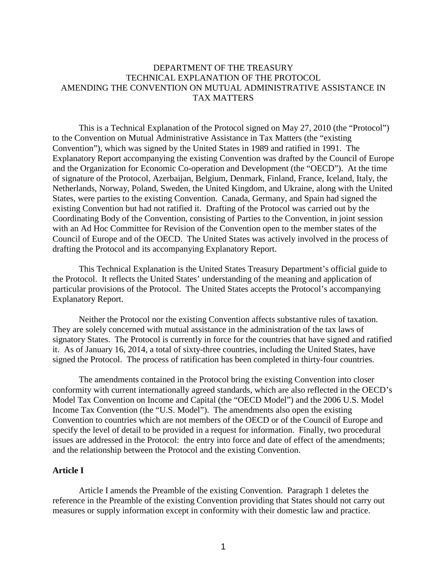# DEPARTMENT OF THE TREASURY TECHNICAL EXPLANATION OF THE PROTOCOL AMENDING THE CONVENTION ON MUTUAL ADMINISTRATIVE ASSISTANCE IN TAX MATTERS

This is a Technical Explanation of the Protocol signed on May 27, 2010 (the "Protocol") to the Convention on Mutual Administrative Assistance in Tax Matters (the "existing Convention"), which was signed by the United States in 1989 and ratified in 1991. The Explanatory Report accompanying the existing Convention was drafted by the Council of Europe and the Organization for Economic Co-operation and Development (the "OECD"). At the time of signature of the Protocol, Azerbaijan, Belgium, Denmark, Finland, France, Iceland, Italy, the Netherlands, Norway, Poland, Sweden, the United Kingdom, and Ukraine, along with the United States, were parties to the existing Convention. Canada, Germany, and Spain had signed the existing Convention but had not ratified it. Drafting of the Protocol was carried out by the Coordinating Body of the Convention, consisting of Parties to the Convention, in joint session with an Ad Hoc Committee for Revision of the Convention open to the member states of the Council of Europe and of the OECD. The United States was actively involved in the process of drafting the Protocol and its accompanying Explanatory Report.

This Technical Explanation is the United States Treasury Department's official guide to the Protocol. It reflects the United States' understanding of the meaning and application of particular provisions of the Protocol. The United States accepts the Protocol's accompanying Explanatory Report.

Neither the Protocol nor the existing Convention affects substantive rules of taxation. They are solely concerned with mutual assistance in the administration of the tax laws of signatory States. The Protocol is currently in force for the countries that have signed and ratified it. As of January 16, 2014, a total of sixty-three countries, including the United States, have signed the Protocol. The process of ratification has been completed in thirty-four countries.

The amendments contained in the Protocol bring the existing Convention into closer conformity with current internationally agreed standards, which are also reflected in the OECD's Model Tax Convention on Income and Capital (the "OECD Model") and the 2006 U.S. Model Income Tax Convention (the "U.S. Model"). The amendments also open the existing Convention to countries which are not members of the OECD or of the Council of Europe and specify the level of detail to be provided in a request for information. Finally, two procedural issues are addressed in the Protocol: the entry into force and date of effect of the amendments; and the relationship between the Protocol and the existing Convention.

# **Article I**

Article I amends the Preamble of the existing Convention. Paragraph 1 deletes the reference in the Preamble of the existing Convention providing that States should not carry out measures or supply information except in conformity with their domestic law and practice.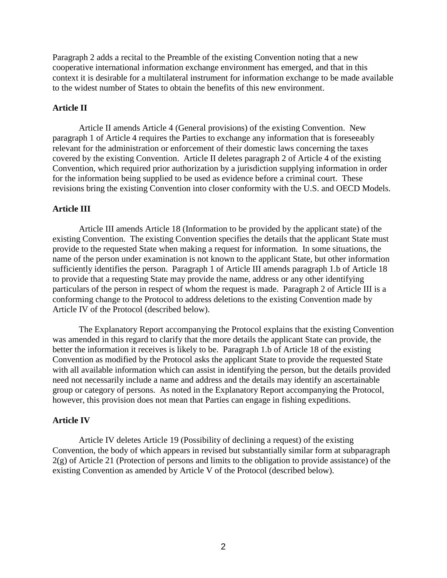Paragraph 2 adds a recital to the Preamble of the existing Convention noting that a new cooperative international information exchange environment has emerged, and that in this context it is desirable for a multilateral instrument for information exchange to be made available to the widest number of States to obtain the benefits of this new environment.

# **Article II**

Article II amends Article 4 (General provisions) of the existing Convention. New paragraph 1 of Article 4 requires the Parties to exchange any information that is foreseeably relevant for the administration or enforcement of their domestic laws concerning the taxes covered by the existing Convention. Article II deletes paragraph 2 of Article 4 of the existing Convention, which required prior authorization by a jurisdiction supplying information in order for the information being supplied to be used as evidence before a criminal court. These revisions bring the existing Convention into closer conformity with the U.S. and OECD Models.

# **Article III**

Article III amends Article 18 (Information to be provided by the applicant state) of the existing Convention. The existing Convention specifies the details that the applicant State must provide to the requested State when making a request for information. In some situations, the name of the person under examination is not known to the applicant State, but other information sufficiently identifies the person. Paragraph 1 of Article III amends paragraph 1.b of Article 18 to provide that a requesting State may provide the name, address or any other identifying particulars of the person in respect of whom the request is made. Paragraph 2 of Article III is a conforming change to the Protocol to address deletions to the existing Convention made by Article IV of the Protocol (described below).

The Explanatory Report accompanying the Protocol explains that the existing Convention was amended in this regard to clarify that the more details the applicant State can provide, the better the information it receives is likely to be. Paragraph 1.b of Article 18 of the existing Convention as modified by the Protocol asks the applicant State to provide the requested State with all available information which can assist in identifying the person, but the details provided need not necessarily include a name and address and the details may identify an ascertainable group or category of persons. As noted in the Explanatory Report accompanying the Protocol, however, this provision does not mean that Parties can engage in fishing expeditions.

## **Article IV**

Article IV deletes Article 19 (Possibility of declining a request) of the existing Convention, the body of which appears in revised but substantially similar form at subparagraph  $2(g)$  of Article 21 (Protection of persons and limits to the obligation to provide assistance) of the existing Convention as amended by Article V of the Protocol (described below).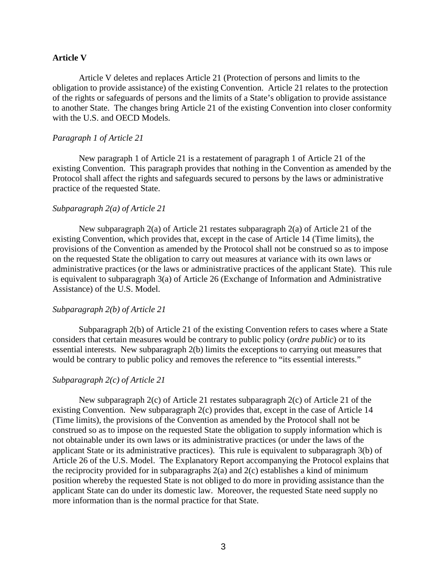#### **Article V**

Article V deletes and replaces Article 21 (Protection of persons and limits to the obligation to provide assistance) of the existing Convention. Article 21 relates to the protection of the rights or safeguards of persons and the limits of a State's obligation to provide assistance to another State. The changes bring Article 21 of the existing Convention into closer conformity with the U.S. and OECD Models.

#### *Paragraph 1 of Article 21*

New paragraph 1 of Article 21 is a restatement of paragraph 1 of Article 21 of the existing Convention. This paragraph provides that nothing in the Convention as amended by the Protocol shall affect the rights and safeguards secured to persons by the laws or administrative practice of the requested State.

## *Subparagraph 2(a) of Article 21*

New subparagraph 2(a) of Article 21 restates subparagraph 2(a) of Article 21 of the existing Convention, which provides that, except in the case of Article 14 (Time limits), the provisions of the Convention as amended by the Protocol shall not be construed so as to impose on the requested State the obligation to carry out measures at variance with its own laws or administrative practices (or the laws or administrative practices of the applicant State). This rule is equivalent to subparagraph 3(a) of Article 26 (Exchange of Information and Administrative Assistance) of the U.S. Model.

### *Subparagraph 2(b) of Article 21*

Subparagraph 2(b) of Article 21 of the existing Convention refers to cases where a State considers that certain measures would be contrary to public policy (*ordre public*) or to its essential interests. New subparagraph 2(b) limits the exceptions to carrying out measures that would be contrary to public policy and removes the reference to "its essential interests."

#### *Subparagraph 2(c) of Article 21*

New subparagraph 2(c) of Article 21 restates subparagraph 2(c) of Article 21 of the existing Convention. New subparagraph 2(c) provides that, except in the case of Article 14 (Time limits), the provisions of the Convention as amended by the Protocol shall not be construed so as to impose on the requested State the obligation to supply information which is not obtainable under its own laws or its administrative practices (or under the laws of the applicant State or its administrative practices). This rule is equivalent to subparagraph 3(b) of Article 26 of the U.S. Model. The Explanatory Report accompanying the Protocol explains that the reciprocity provided for in subparagraphs 2(a) and 2(c) establishes a kind of minimum position whereby the requested State is not obliged to do more in providing assistance than the applicant State can do under its domestic law. Moreover, the requested State need supply no more information than is the normal practice for that State.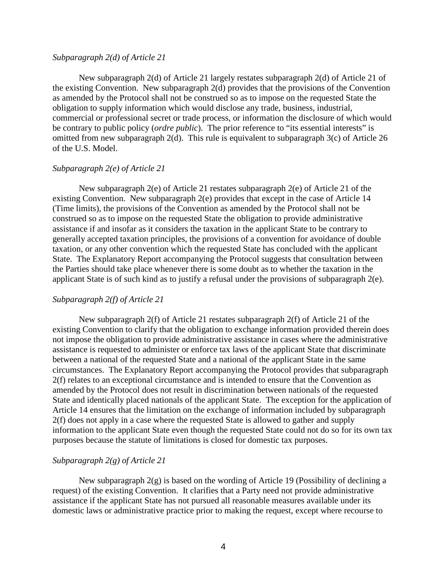## *Subparagraph 2(d) of Article 21*

New subparagraph 2(d) of Article 21 largely restates subparagraph 2(d) of Article 21 of the existing Convention. New subparagraph 2(d) provides that the provisions of the Convention as amended by the Protocol shall not be construed so as to impose on the requested State the obligation to supply information which would disclose any trade, business, industrial, commercial or professional secret or trade process, or information the disclosure of which would be contrary to public policy (*ordre public*). The prior reference to "its essential interests" is omitted from new subparagraph 2(d). This rule is equivalent to subparagraph 3(c) of Article 26 of the U.S. Model.

### *Subparagraph 2(e) of Article 21*

New subparagraph 2(e) of Article 21 restates subparagraph 2(e) of Article 21 of the existing Convention. New subparagraph 2(e) provides that except in the case of Article 14 (Time limits), the provisions of the Convention as amended by the Protocol shall not be construed so as to impose on the requested State the obligation to provide administrative assistance if and insofar as it considers the taxation in the applicant State to be contrary to generally accepted taxation principles, the provisions of a convention for avoidance of double taxation, or any other convention which the requested State has concluded with the applicant State. The Explanatory Report accompanying the Protocol suggests that consultation between the Parties should take place whenever there is some doubt as to whether the taxation in the applicant State is of such kind as to justify a refusal under the provisions of subparagraph 2(e).

## *Subparagraph 2(f) of Article 21*

New subparagraph 2(f) of Article 21 restates subparagraph 2(f) of Article 21 of the existing Convention to clarify that the obligation to exchange information provided therein does not impose the obligation to provide administrative assistance in cases where the administrative assistance is requested to administer or enforce tax laws of the applicant State that discriminate between a national of the requested State and a national of the applicant State in the same circumstances. The Explanatory Report accompanying the Protocol provides that subparagraph 2(f) relates to an exceptional circumstance and is intended to ensure that the Convention as amended by the Protocol does not result in discrimination between nationals of the requested State and identically placed nationals of the applicant State. The exception for the application of Article 14 ensures that the limitation on the exchange of information included by subparagraph 2(f) does not apply in a case where the requested State is allowed to gather and supply information to the applicant State even though the requested State could not do so for its own tax purposes because the statute of limitations is closed for domestic tax purposes.

## *Subparagraph 2(g) of Article 21*

New subparagraph 2(g) is based on the wording of Article 19 (Possibility of declining a request) of the existing Convention. It clarifies that a Party need not provide administrative assistance if the applicant State has not pursued all reasonable measures available under its domestic laws or administrative practice prior to making the request, except where recourse to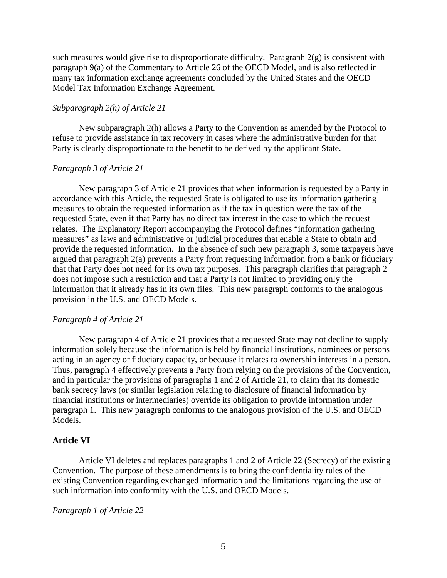such measures would give rise to disproportionate difficulty. Paragraph  $2(g)$  is consistent with paragraph 9(a) of the Commentary to Article 26 of the OECD Model, and is also reflected in many tax information exchange agreements concluded by the United States and the OECD Model Tax Information Exchange Agreement.

## *Subparagraph 2(h) of Article 21*

New subparagraph 2(h) allows a Party to the Convention as amended by the Protocol to refuse to provide assistance in tax recovery in cases where the administrative burden for that Party is clearly disproportionate to the benefit to be derived by the applicant State.

## *Paragraph 3 of Article 21*

New paragraph 3 of Article 21 provides that when information is requested by a Party in accordance with this Article, the requested State is obligated to use its information gathering measures to obtain the requested information as if the tax in question were the tax of the requested State, even if that Party has no direct tax interest in the case to which the request relates. The Explanatory Report accompanying the Protocol defines "information gathering measures" as laws and administrative or judicial procedures that enable a State to obtain and provide the requested information. In the absence of such new paragraph 3, some taxpayers have argued that paragraph 2(a) prevents a Party from requesting information from a bank or fiduciary that that Party does not need for its own tax purposes. This paragraph clarifies that paragraph 2 does not impose such a restriction and that a Party is not limited to providing only the information that it already has in its own files. This new paragraph conforms to the analogous provision in the U.S. and OECD Models.

#### *Paragraph 4 of Article 21*

New paragraph 4 of Article 21 provides that a requested State may not decline to supply information solely because the information is held by financial institutions, nominees or persons acting in an agency or fiduciary capacity, or because it relates to ownership interests in a person. Thus, paragraph 4 effectively prevents a Party from relying on the provisions of the Convention, and in particular the provisions of paragraphs 1 and 2 of Article 21, to claim that its domestic bank secrecy laws (or similar legislation relating to disclosure of financial information by financial institutions or intermediaries) override its obligation to provide information under paragraph 1. This new paragraph conforms to the analogous provision of the U.S. and OECD Models.

#### **Article VI**

Article VI deletes and replaces paragraphs 1 and 2 of Article 22 (Secrecy) of the existing Convention. The purpose of these amendments is to bring the confidentiality rules of the existing Convention regarding exchanged information and the limitations regarding the use of such information into conformity with the U.S. and OECD Models.

*Paragraph 1 of Article 22*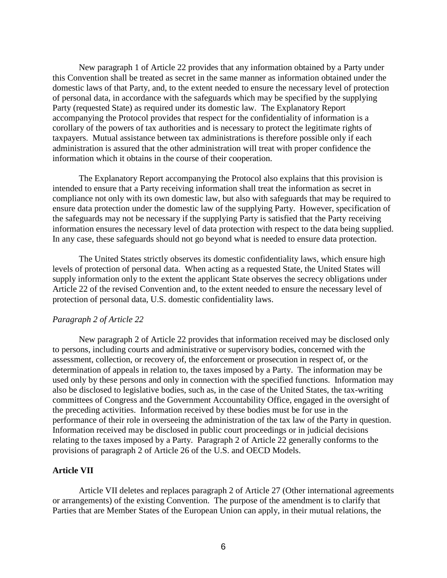New paragraph 1 of Article 22 provides that any information obtained by a Party under this Convention shall be treated as secret in the same manner as information obtained under the domestic laws of that Party, and, to the extent needed to ensure the necessary level of protection of personal data, in accordance with the safeguards which may be specified by the supplying Party (requested State) as required under its domestic law. The Explanatory Report accompanying the Protocol provides that respect for the confidentiality of information is a corollary of the powers of tax authorities and is necessary to protect the legitimate rights of taxpayers. Mutual assistance between tax administrations is therefore possible only if each administration is assured that the other administration will treat with proper confidence the information which it obtains in the course of their cooperation.

The Explanatory Report accompanying the Protocol also explains that this provision is intended to ensure that a Party receiving information shall treat the information as secret in compliance not only with its own domestic law, but also with safeguards that may be required to ensure data protection under the domestic law of the supplying Party. However, specification of the safeguards may not be necessary if the supplying Party is satisfied that the Party receiving information ensures the necessary level of data protection with respect to the data being supplied. In any case, these safeguards should not go beyond what is needed to ensure data protection.

The United States strictly observes its domestic confidentiality laws, which ensure high levels of protection of personal data. When acting as a requested State, the United States will supply information only to the extent the applicant State observes the secrecy obligations under Article 22 of the revised Convention and, to the extent needed to ensure the necessary level of protection of personal data, U.S. domestic confidentiality laws.

## *Paragraph 2 of Article 22*

New paragraph 2 of Article 22 provides that information received may be disclosed only to persons, including courts and administrative or supervisory bodies, concerned with the assessment, collection, or recovery of, the enforcement or prosecution in respect of, or the determination of appeals in relation to, the taxes imposed by a Party. The information may be used only by these persons and only in connection with the specified functions. Information may also be disclosed to legislative bodies, such as, in the case of the United States, the tax-writing committees of Congress and the Government Accountability Office, engaged in the oversight of the preceding activities. Information received by these bodies must be for use in the performance of their role in overseeing the administration of the tax law of the Party in question. Information received may be disclosed in public court proceedings or in judicial decisions relating to the taxes imposed by a Party. Paragraph 2 of Article 22 generally conforms to the provisions of paragraph 2 of Article 26 of the U.S. and OECD Models.

#### **Article VII**

Article VII deletes and replaces paragraph 2 of Article 27 (Other international agreements or arrangements) of the existing Convention. The purpose of the amendment is to clarify that Parties that are Member States of the European Union can apply, in their mutual relations, the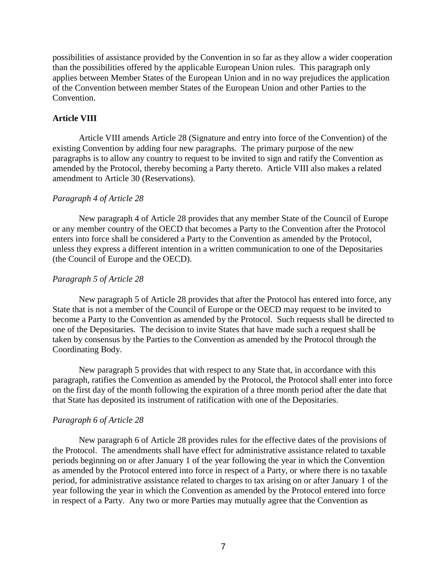possibilities of assistance provided by the Convention in so far as they allow a wider cooperation than the possibilities offered by the applicable European Union rules. This paragraph only applies between Member States of the European Union and in no way prejudices the application of the Convention between member States of the European Union and other Parties to the Convention.

# **Article VIII**

Article VIII amends Article 28 (Signature and entry into force of the Convention) of the existing Convention by adding four new paragraphs. The primary purpose of the new paragraphs is to allow any country to request to be invited to sign and ratify the Convention as amended by the Protocol, thereby becoming a Party thereto. Article VIII also makes a related amendment to Article 30 (Reservations).

## *Paragraph 4 of Article 28*

New paragraph 4 of Article 28 provides that any member State of the Council of Europe or any member country of the OECD that becomes a Party to the Convention after the Protocol enters into force shall be considered a Party to the Convention as amended by the Protocol, unless they express a different intention in a written communication to one of the Depositaries (the Council of Europe and the OECD).

# *Paragraph 5 of Article 28*

New paragraph 5 of Article 28 provides that after the Protocol has entered into force, any State that is not a member of the Council of Europe or the OECD may request to be invited to become a Party to the Convention as amended by the Protocol. Such requests shall be directed to one of the Depositaries. The decision to invite States that have made such a request shall be taken by consensus by the Parties to the Convention as amended by the Protocol through the Coordinating Body.

New paragraph 5 provides that with respect to any State that, in accordance with this paragraph, ratifies the Convention as amended by the Protocol, the Protocol shall enter into force on the first day of the month following the expiration of a three month period after the date that that State has deposited its instrument of ratification with one of the Depositaries.

## *Paragraph 6 of Article 28*

New paragraph 6 of Article 28 provides rules for the effective dates of the provisions of the Protocol. The amendments shall have effect for administrative assistance related to taxable periods beginning on or after January 1 of the year following the year in which the Convention as amended by the Protocol entered into force in respect of a Party, or where there is no taxable period, for administrative assistance related to charges to tax arising on or after January 1 of the year following the year in which the Convention as amended by the Protocol entered into force in respect of a Party. Any two or more Parties may mutually agree that the Convention as